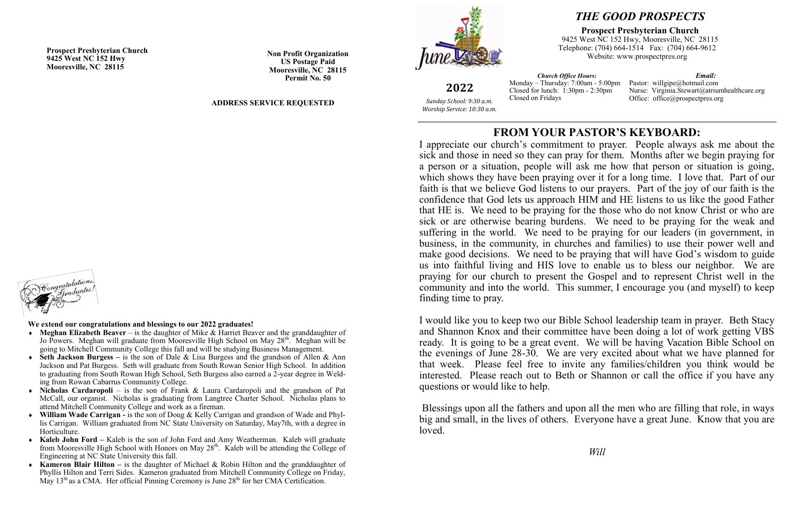# **FROM YOUR PASTOR'S KEYBOARD:**

I appreciate our church's commitment to prayer. People always ask me about the sick and those in need so they can pray for them. Months after we begin praying for a person or a situation, people will ask me how that person or situation is going, which shows they have been praying over it for a long time. I love that. Part of our faith is that we believe God listens to our prayers. Part of the joy of our faith is the confidence that God lets us approach HIM and HE listens to us like the good Father that HE is. We need to be praying for the those who do not know Christ or who are sick or are otherwise bearing burdens. We need to be praying for the weak and suffering in the world. We need to be praying for our leaders (in government, in business, in the community, in churches and families) to use their power well and make good decisions. We need to be praying that will have God's wisdom to guide us into faithful living and HIS love to enable us to bless our neighbor. We are praying for our church to present the Gospel and to represent Christ well in the community and into the world. This summer, I encourage you (and myself) to keep finding time to pray.

- **Meghan Elizabeth Beaver** is the daughter of Mike & Harriet Beaver and the granddaughter of Jo Powers. Meghan will graduate from Mooresville High School on May 28<sup>th</sup>. Meghan will be going to Mitchell Community College this fall and will be studying Business Management.
- **Seth Jackson Burgess –** is the son of Dale & Lisa Burgess and the grandson of Allen & Ann Jackson and Pat Burgess. Seth will graduate from South Rowan Senior High School. In addition to graduating from South Rowan High School, Seth Burgess also earned a 2-year degree in Welding from Rowan Cabarrus Community College.
- **Nicholas Cardaropoli** is the son of Frank & Laura Cardaropoli and the grandson of Pat McCall, our organist. Nicholas is graduating from Langtree Charter School. Nicholas plans to attend Mitchell Community College and work as a fireman.
- **William Wade Carrigan -** is the son of Doug & Kelly Carrigan and grandson of Wade and Phyllis Carrigan. William graduated from NC State University on Saturday, May7th, with a degree in Horticulture.
- **Kaleb John Ford –** Kaleb is the son of John Ford and Amy Weatherman. Kaleb will graduate from Mooresville High School with Honors on May  $28<sup>th</sup>$ . Kaleb will be attending the College of Engineering at NC State University this fall.
- **Kameron Blair Hilton –** is the daughter of Michael & Robin Hilton and the granddaughter of Phyllis Hilton and Terri Sides. Kameron graduated from Mitchell Community College on Friday, May  $13<sup>th</sup>$  as a CMA. Her official Pinning Ceremony is June  $28<sup>th</sup>$  for her CMA Certification.

I would like you to keep two our Bible School leadership team in prayer. Beth Stacy and Shannon Knox and their committee have been doing a lot of work getting VBS ready. It is going to be a great event. We will be having Vacation Bible School on the evenings of June 28-30. We are very excited about what we have planned for that week. Please feel free to invite any families/children you think would be interested. Please reach out to Beth or Shannon or call the office if you have any questions or would like to help.

Blessings upon all the fathers and upon all the men who are filling that role, in ways big and small, in the lives of others. Everyone have a great June. Know that you are loved.



*Will*

**2022** *Sunday School: 9:30 a.m. Worship Service: 10:30 a.m.*

**Prospect Presbyterian Church 9425 West NC 152 Hwy Mooresville, NC 28115**

**Non Profit Organization US Postage Paid Mooresville, NC 28115 Permit No. 50**

### **ADDRESS SERVICE REQUESTED**



# *THE GOOD PROSPECTS*

### **Prospect Presbyterian Church**

9425 West NC 152 Hwy, Mooresville, NC 28115 Telephone: (704) 664-1514 Fax: (704) 664-9612 Website: www.prospectpres.org

*Church Office Hours:* Monday – Thursday: 7:00am - 5:00pm Closed for lunch: 1:30pm - 2:30pm Closed on Fridays *Email:* Pastor: willgipe@hotmail.com Nurse: Virginia.Stewart@atriumhealthcare.org Office: office@prospectpres.org

### **We extend our congratulations and blessings to our 2022 graduates!**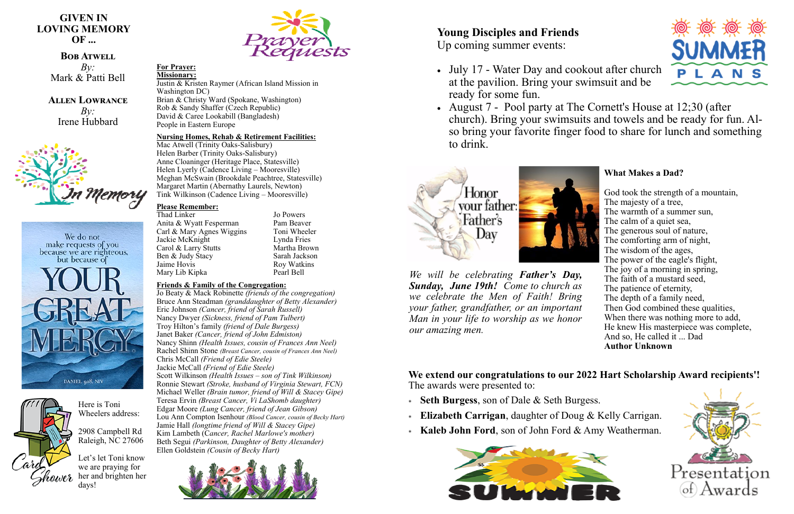**GIVEN IN LOVING MEMORY OF ...**

## **BOB ATWELL**

*By:* Mark & Patti Bell

**Allen Lowrance** *By:* Irene Hubbard



We do not make requests of you because we are righteous. but because of





#### **For Prayer: Missionary:**

Justin & Kristen Raymer (African Island Mission in Washington DC) Brian & Christy Ward (Spokane, Washington) Rob & Sandy Shaffer (Czech Republic) David & Caree Lookabill (Bangladesh) People in Eastern Europe

### **Nursing Homes, Rehab & Retirement Facilities:**

Mac Atwell (Trinity Oaks-Salisbury) Helen Barber (Trinity Oaks-Salisbury) Anne Cloaninger (Heritage Place, Statesville) Helen Lyerly (Cadence Living – Mooresville) Meghan McSwain (Brookdale Peachtree, Statesville) Margaret Martin (Abernathy Laurels, Newton) Tink Wilkinson (Cadence Living – Mooresville)

### **Please Remember:**

Thad Linker Jo Powers Anita & Wyatt Fesperman Pam Beaver Carl & Mary Agnes Wiggins Toni Wheeler<br>Jackie McKnight Lynda Fries Jackie McKnight<br>Carol & Larry Stutts Martha Brown Carol & Larry Stutts Ben & Judy Stacy Sarah Jackson<br>Jaime Hovis Roy Watkins Mary Lib Kipka Pearl Bell

Roy Watkins

### **Friends & Family of the Congregation:**

Jo Beaty & Mack Robinette *(friends of the congregation)* Bruce Ann Steadman *(granddaughter of Betty Alexander)* Eric Johnson *(Cancer, friend of Sarah Russell)* Nancy Dwyer *(Sickness, friend of Pam Tulbert)* Troy Hilton's family *(friend of Dale Burgess)* Janet Baker *(Cancer, friend of John Edmiston)* Nancy Shinn *(Health Issues, cousin of Frances Ann Neel)* Rachel Shinn Stone *(Breast Cancer, cousin of Frances Ann Neel)* Chris McCall *(Friend of Edie Steele)* Jackie McCall *(Friend of Edie Steele)* Scott Wilkinson *(Health Issues – son of Tink Wilkinson)* Ronnie Stewart *(Stroke, husband of Virginia Stewart, FCN)* Michael Weller *(Brain tumor, friend of Will & Stacey Gipe)* Teresa Ervin *(Breast Cancer, Vi LaShomb daughter)* Edgar Moore *(Lung Cancer, friend of Jean Gibson)* Lou Ann Compton Isenhour *(Blood Cancer, cousin of Becky Hart)* Jamie Hall *(longtime friend of Will & Stacey Gipe)* Kim Lambeth (C*ancer, Rachel Marlowe's mother)* Beth Segui *(Parkinson, Daughter of Betty Alexander)* Ellen Goldstein *(Cousin of Becky Hart)*



*We will be celebrating Father's Day, Sunday, June 19th! Come to church as we celebrate the Men of Faith! Bring your father, grandfather, or an important Man in your life to worship as we honor our amazing men.* 

# **Young Disciples and Friends**

Up coming summer events:

- July 17 Water Day and cookout after church at the pavilion. Bring your swimsuit and be ready for some fun.
- to drink.





• August 7 - Pool party at The Cornett's House at 12;30 (after church). Bring your swimsuits and towels and be ready for fun. Also bring your favorite finger food to share for lunch and something

### **What Makes a Dad?**

God took the strength of a mountain, The majesty of a tree, The warmth of a summer sun, The calm of a quiet sea, The generous soul of nature, The comforting arm of night, The wisdom of the ages, The power of the eagle's flight, The joy of a morning in spring, The faith of a mustard seed, The patience of eternity, The depth of a family need, Then God combined these qualities, When there was nothing more to add, He knew His masterpiece was complete, And so, He called it ... Dad **Author Unknown**



**We extend our congratulations to our 2022 Hart Scholarship Award recipients'!**  The awards were presented to:

- **Seth Burgess**, son of Dale & Seth Burgess.
- **Elizabeth Carrigan**, daughter of Doug & Kelly Carrigan.
- **Kaleb John Ford**, son of John Ford & Amy Weatherman.





Here is Toni Wheelers address:

2908 Campbell Rd Raleigh, NC 27606

Let's let Toni know we are praying for her and brighten her days!

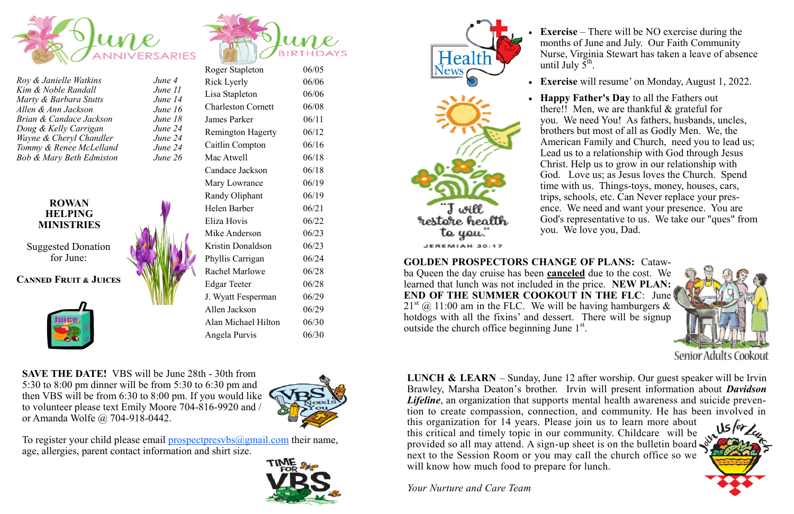

*Roy & Janielle Watkins June 4 Kim & Noble Randall June Marty & Barbara Stutts June Allen & Ann Jackson June Brian & Candace Jackson June Doug & Kelly Carrigan June Wayne & Cheryl Chandler June Tommy & Renee McLelland <i>June Bob & Mary Beth Edmiston June* 

### **ROWAN HELPING MINISTRIES**

Suggested Donation for June:

## **Canned Fruit & Juices**



| $\overline{A}$<br>l<br>14 | Roger Stapleton           |
|---------------------------|---------------------------|
|                           | Rick Lyerly               |
|                           | Lisa Stapleton            |
| 16                        | <b>Charleston Cornett</b> |
| 18                        | James Parker              |
| 24<br>24                  | <b>Remington Hagerty</b>  |
| 24                        | Caitlin Compton           |
| 26                        | Mac Atwell                |
|                           | Candace Jackson           |
|                           | Mary Lowrance             |
|                           | <b>Randy Oliphant</b>     |
|                           | Helen Barber              |
|                           | Eliza Hovis               |
|                           | Mike Anderson             |
|                           | Kristin Donaldson         |
|                           | Phyllis Carrigan          |
|                           | <b>Rachel Marlowe</b>     |
|                           | <b>Edgar Teeter</b>       |
|                           | J. Wyatt Fesperman        |
|                           | Allen Jackson             |
|                           | Alan Michael Hilton       |
|                           | Angela Purvis             |

Health News

T will <sup>s</sup>restore health

to you. JEREMIAH 30:17

**GOLDEN PROSPECTORS CHANGE OF PLANS:** Catawba Queen the day cruise has been **canceled** due to the cost. We learned that lunch was not included in the price. **NEW PLAN: END OF THE SUMMER COOKOUT IN THE FLC**: June  $21<sup>st</sup>$  (a) 11:00 am in the FLC. We will be having hamburgers & hotdogs with all the fixins' and dessert. There will be signup outside the church office beginning June  $1<sup>st</sup>$ .

• **Exercise** will resume' on Monday, August 1, 2022.



Senior Adults Cookout



**SAVE THE DATE!** VBS will be June 28th - 30th from 5:30 to 8:00 pm dinner will be from 5:30 to 6:30 pm and then VBS will be from 6:30 to 8:00 pm. If you would like to volunteer please text Emily Moore 704-816-9920 and / or Amanda Wolfe @ 704-918-0442.



 $06/30$ 

 $06/05$ 06/06  $06/06$ 06/08  $06/11$  $06/12$  $06/16$  $06/18$ 

 $\boldsymbol{u}$ 

 $06/18$  $06/19$  $06/19$  $06/21$  $06/22$  $06/23$ 06/23  $06/24$  $06/28$  $06/28$  $06/29$  $06/29$  $06/30$ 

To register your child please email prospectpresvbs $(a)$ gmail.com their name, age, allergies, parent contact information and shirt size.

**LUNCH & LEARN** – Sunday, June 12 after worship. Our guest speaker will be Irvin Brawley, Marsha Deaton's brother. Irvin will present information about *Davidson Lifeline*, an organization that supports mental health awareness and suicide prevention to create compassion, connection, and community. He has been involved in this organization for 14 years. Please join us to learn more about this critical and timely topic in our community. Childcare will be provided so all may attend. A sign-up sheet is on the bulletin board next to the Session Room or you may call the church office so we will know how much food to prepare for lunch.



**Exercise** – There will be NO exercise during the months of June and July. Our Faith Community Nurse, Virginia Stewart has taken a leave of absence until July  $5^{\text{th}}$ .

• **Happy Father's Day** to all the Fathers out there!! Men, we are thankful & grateful for you. We need You! As fathers, husbands, uncles, brothers but most of all as Godly Men. We, the American Family and Church, need you to lead us; Lead us to a relationship with God through Jesus Christ. Help us to grow in our relationship with God. Love us; as Jesus loves the Church. Spend time with us. Things-toys, money, houses, cars, trips, schools, etc. Can Never replace your presence. We need and want your presence. You are God's representative to us. We take our "ques" from you. We love you, Dad.

*Your Nurture and Care Team*